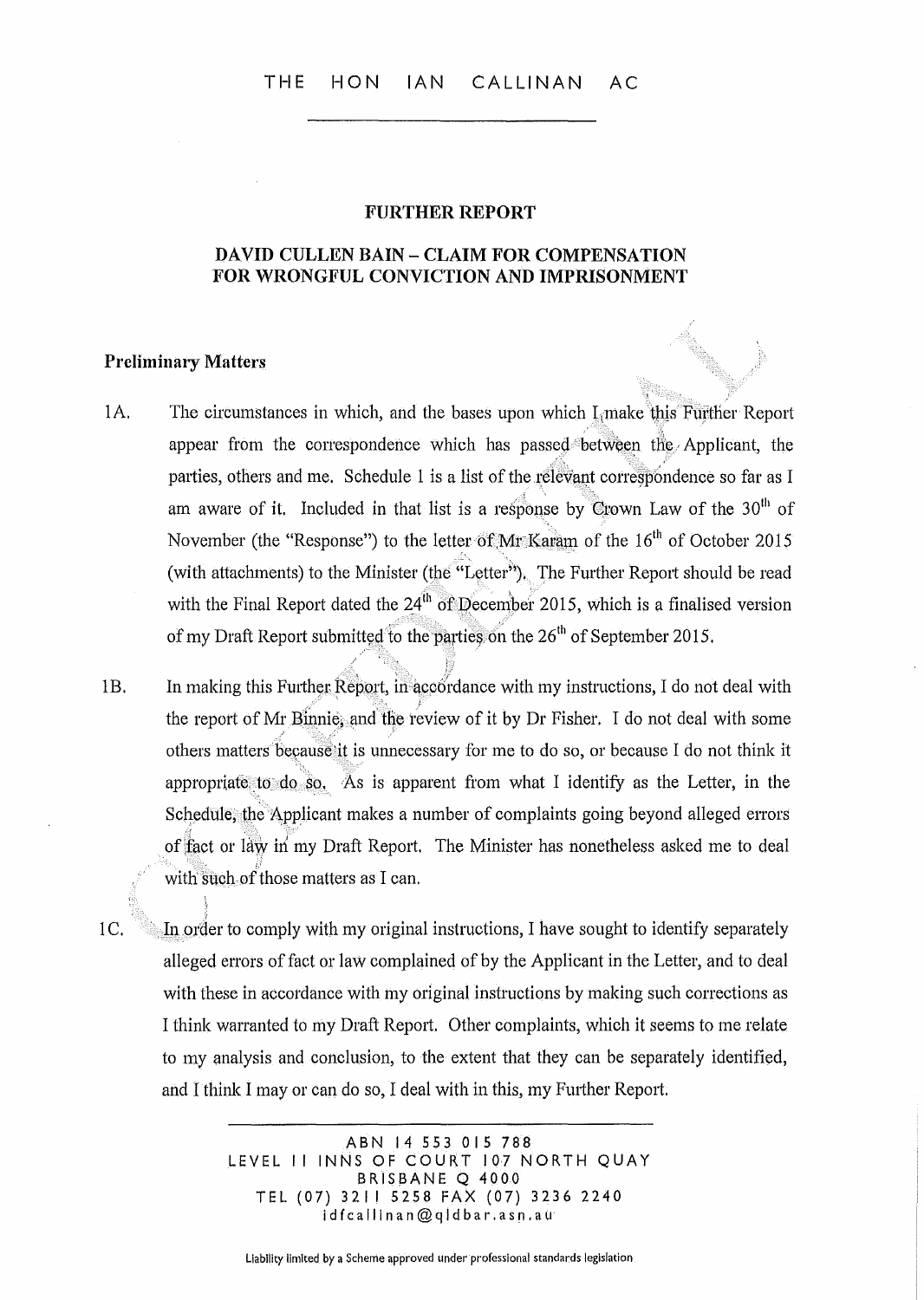#### FURTHER REPORT

### DAVID CULLEN BAIN - CLAIM FOR COMPENSATION FOR WRONGFUL CONVICTION AND IMPRISONMENT

### Preliminary Matters

- 1A. The circumstances in which, and the bases upon which L<sub>i</sub>make this Further Report appear from the correspondence which has passed between the Applicant, the parties, others and me. Schedule 1 is a list of the relevant correspondence so far as I am aware of it. Included in that list is a response by Crown Law of the  $30<sup>th</sup>$  of November (the "Response") to the letter of MrKaram of the  $16<sup>th</sup>$  of October 2015 (with attachments) to the Minister (the "Letter"). The Further Report should be read with the Final Report dated the  $24<sup>th</sup>$  of December 2015, which is a finalised version of my Draft Report submitted to the parties on the  $26<sup>th</sup>$  of September 2015.
- 1B. In making this Further Report, in accordance with my instructions, I do not deal with the report of Mr Binnie, and the review of it by Dr Fisher. I do not deal with some others matters because it is unnecessary for me to do so, or because I do not think it appropriate to do so. As is apparent from what I identify as the Letter, in the Schedule, the Applicant makes a number of complaints going beyond alleged errors of fact or law in my Draft Report. The Minister has nonetheless asked me to deal with such-of those matters as I can.

i

1 C. <sup>11</sup> 111 order to comply with my original instructions, I have sought to identify separately alleged errors of fact or law complained of by the Applicant in the Letter, and to deal with these in accordance with my original instructions by making such corrections as I think warranted to my Draft Report. Other complaints, which it seems to me relate to my analysis and conclusion, to the extent that they can be separately identified, and I think I mayor can do so, I deal with in this, my Further Report.

> ABN 14553015788 LEVEL II INNS OF COURT 107 NORTH QUAY BRISBANE Q 4000 TEL (07) 32115258 FAX (07) 3236 2240 idfcallinan@qldbar.asn.au

liability limited by a Scheme approved under professional standards legislation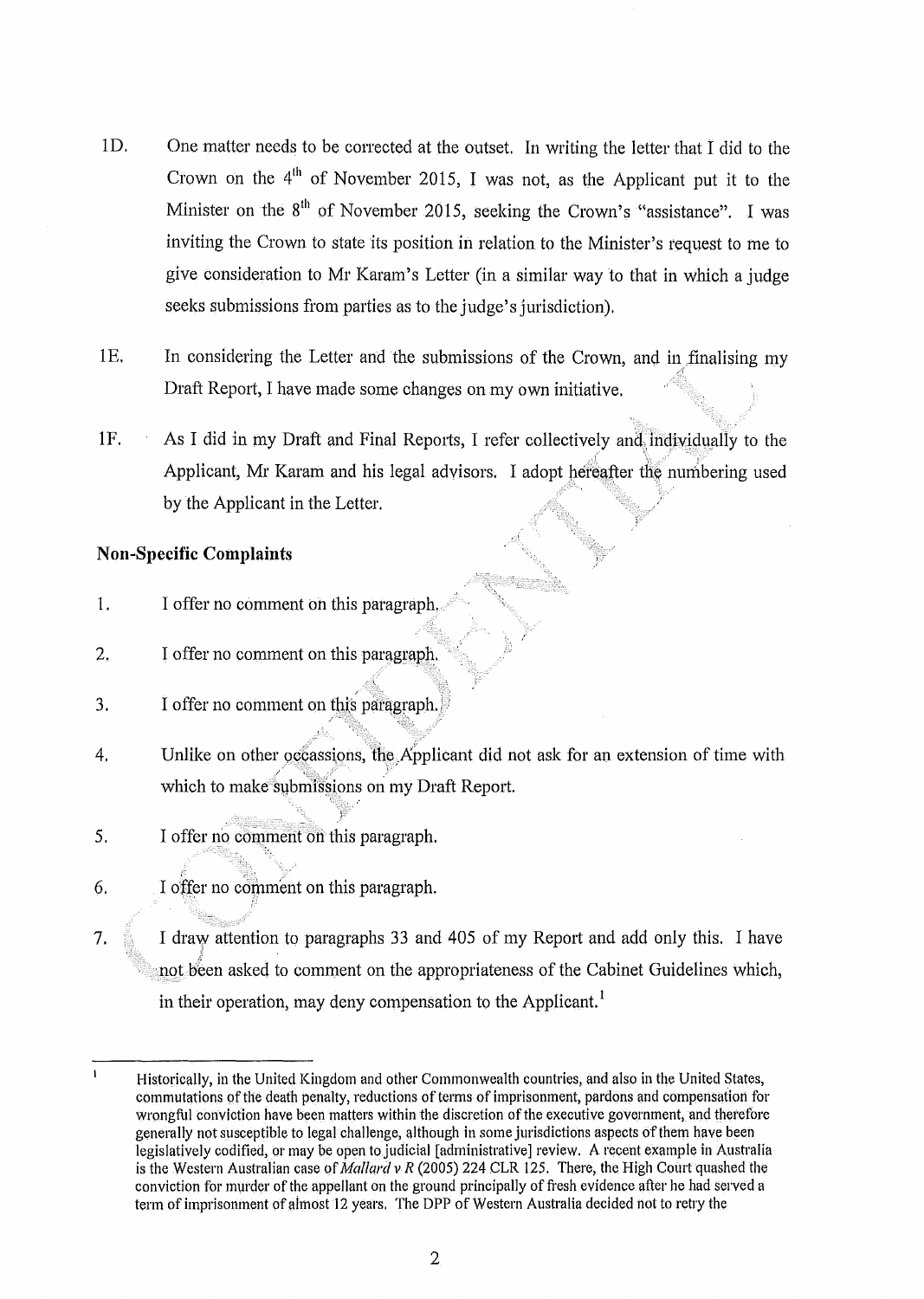- $1D.$  One matter needs to be corrected at the outset. In writing the letter that I did to the Crown on the  $4<sup>th</sup>$  of November 2015, I was not, as the Applicant put it to the Minister on the  $8<sup>th</sup>$  of November 2015, seeking the Crown's "assistance". I was inviting the Crown to state its position in relation to the Minister's request to me to give consideration to Mr Karam's Letter (in a similar way to that in which a judge seeks submissions from parties as to the judge's jurisdiction).
- 1E. In considering the Letter and the submissions of the Crown, and in finalising my Draft Report, I have made some changes on my own initiative.
- $1F.$  As I did in my Draft and Final Reports, I refer collectively and individually to the Applicant, Mr Karam and his legal advisors. I adopt hereafter the numbering used by the Applicant in the Letter.

## Non~Specific **Complaints**

- 1. I offer no comment on this paragraph.
- 2. I offer no comment on this paragraph.
- 3. I offer no comment on this paragraph
- 4. Unlike on other occassions, the Applicant did not ask for an extension of time with which to make submissions on my Draft Report.
- 5. I offer no comment on this paragraph.

'.,. ..

- $6.$  I offer no comment on this paragraph.
- 7.  $\approx$  I draw attention to paragraphs 33 and 405 of my Report and add only this. I have *t;*  not been asked to comment on the appropriateness of the Cabinet Guidelines which, in their operation, may deny compensation to the Applicant.<sup>1</sup>

 $\mathbf{I}$ Historically, in the United Kingdom and other Commonwealth countries, and also in the United States, commutations of the death penalty, reductions of terms of imprisonment, pardons and compensation for wrongful conviction have been matters within the discretion of the executive government, and therefore generally not susceptible to legal challenge, although in some jurisdictions aspects of them have been legislatively codified, or may be open to judicial [administrative] review. A recent example in Australia is the Western Australian case of *Mallard v R* (2005) 224 CLR 125. There, the High Court quashed the conviction for murder of the appellant on the ground principally of fresh evidence after he had served a term of imprisonment of almost 12 years. The DPP of Western Australia decided not to retry the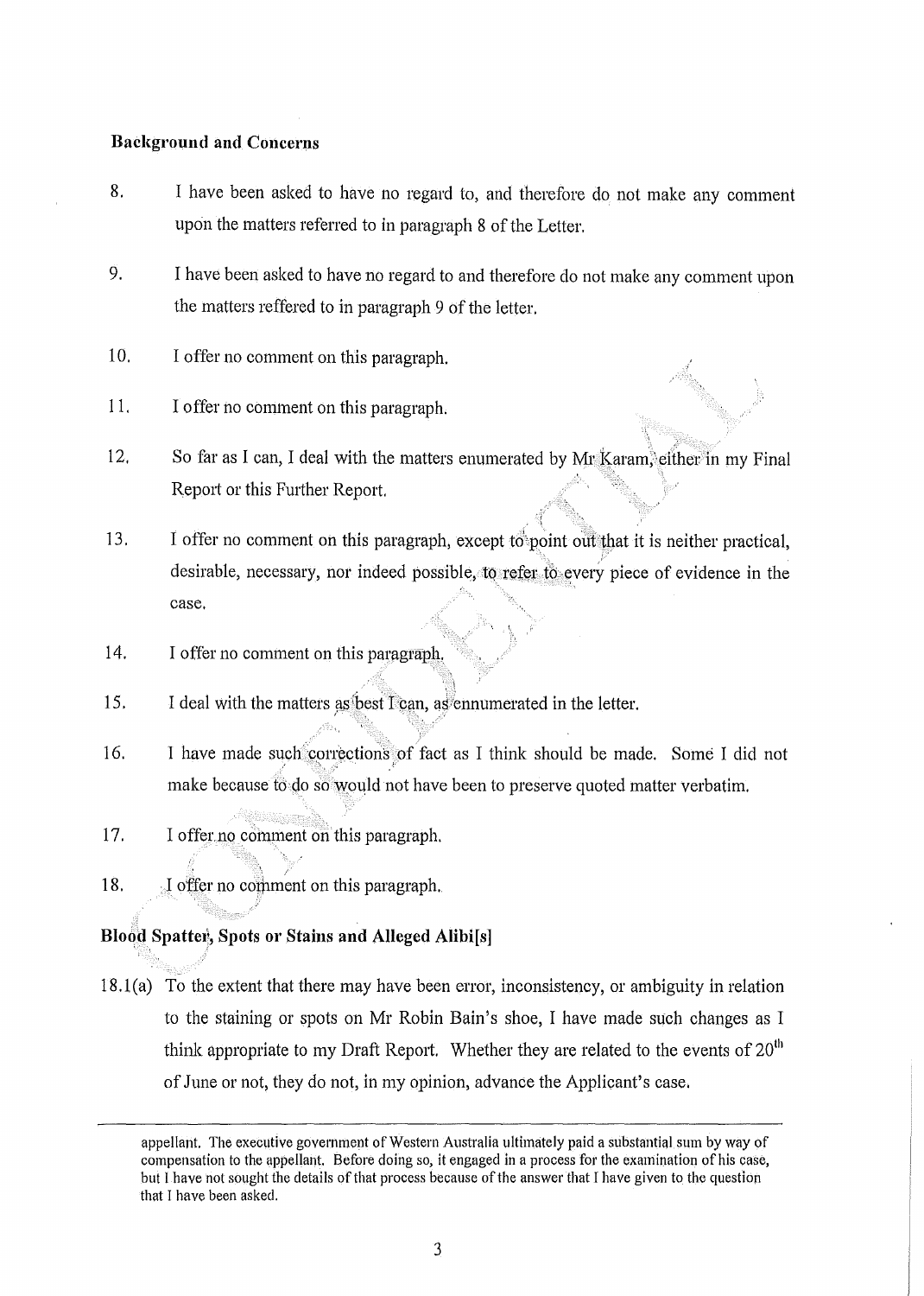## **Bacl{ground and Concerns**

- 8. I have been asked to have no regard to, and therefore do not make any comment upon the matters referred to in paragraph 8 of the Letter.
- 9. I have been asked to have no regard to and therefore do not make any comment upon the matters reffered to in paragraph 9 of the letter.
- 10. I offer no comment on this paragraph.
- 11. I offer no comment on this paragraph.
- 12. So far as I can, I deal with the matters enumerated by Mr Karam, either in my Final Report or this Further Report.
- 13. I offer no comment on this paragraph, except to point out that it is neither practical, desirable, necessary, nor indeed possible, to refer to every piece of evidence in the case.
- 14. I offer no comment on this paragraph.
- $\mathbb{R}^+$ 15. I deal with the matters as best T can, as ennumerated in the letter.
- 16. I have made such corrections of fact as I think should be made. Some I did not make because to do so would not have been to preserve quoted matter verbatim.
- 17. I offer no comment on this paragraph.
- 18. I offer no comment on this paragraph.

## Blood Spatter, Spots or Stains and Alleged Alibi<sup>[s]</sup>

 $18.1(a)$  To the extent that there may have been error, inconsistency, or ambiguity in relation to the staining or spots on Mr Robin Bain's shoe, I have made such changes as I think appropriate to my Draft Report. Whether they are related to the events of  $20<sup>th</sup>$ of June or not, they do not, in my opinion, advance the Applicant's case.

appellant. The executive government of Western Australia ultimately paid a substantial sum by way of compensation to the appellant. Before doing so, it engaged in a process for the examination of his case, but I have not sought the details of that process because of the answer that Ihave given to the question that I have been asked,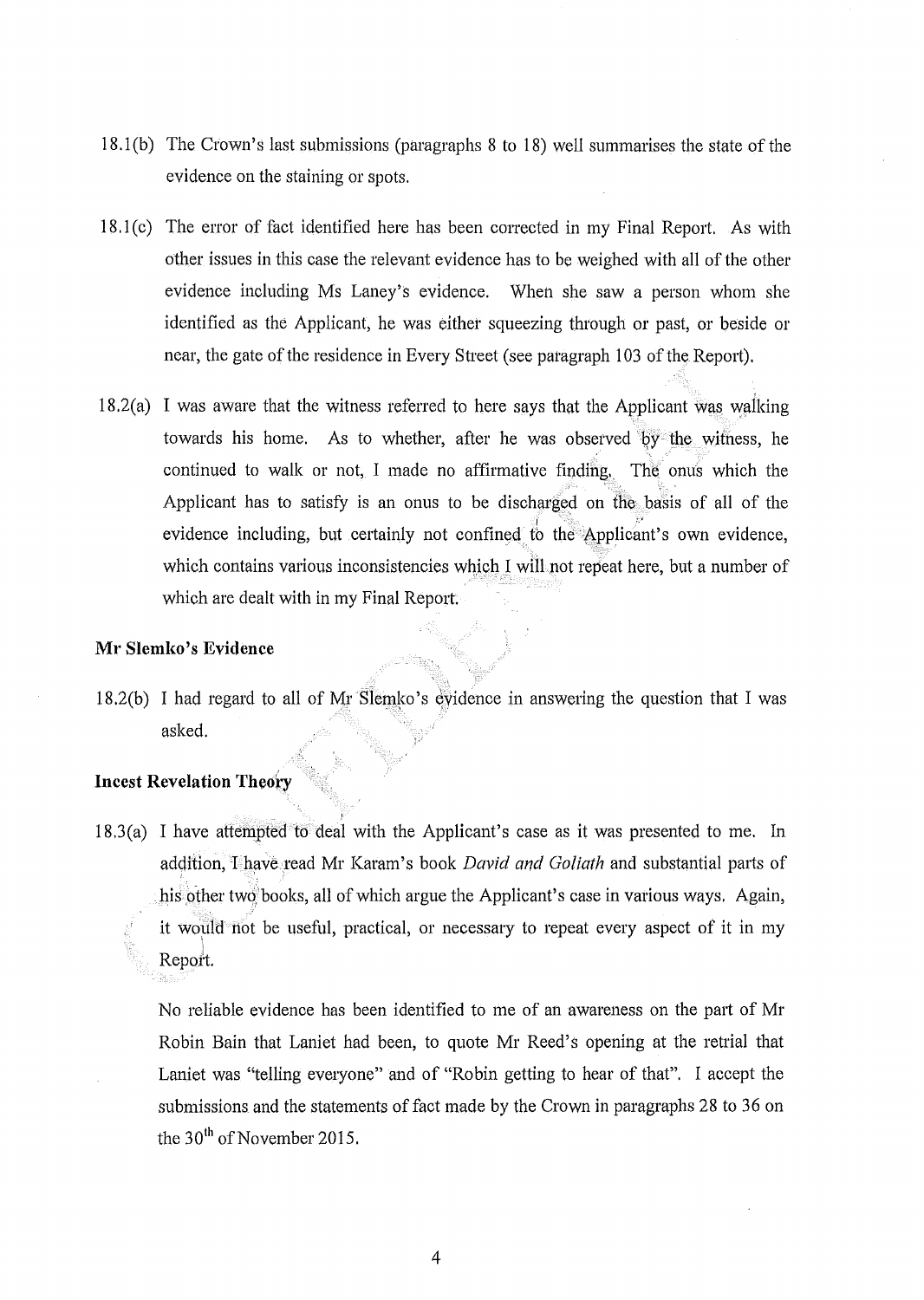- 18 .1 (b) The Crown's last submissions (paragraphs 8 to 18) well summarises the state of the evidence on the staining or spots.
- 18.1 (0) The error of fact identified here has been conected in my Final Report. As with other issues in this case the relevant evidence has to be weighed with all of the other evidence including Ms Laney'S evidence. When she saw a person whom she identified as the Applicant, he was either squeezing through or past, or beside or near, the gate of the residence in Every Street (see paragraph 103 of the Report).
- $18.2(a)$  I was aware that the witness referred to here says that the Applicant was walking towards his home. As to whether, after he was observed by the witness, he continued to walle or not, I made no affirmative finding., The onus which the Applicant has to satisfy is an onus to be discharged on the basis of all of the evidence including, but certainly not confined to the Applicant's own evidence, which contains various inconsistencies which I will not repeat here, but a number of which are dealt with in my Final Report.

### **Ml' Slemko's Evidence**

18.2(b) I had regard to all of Mr Slemko's evidence in answering the question that I was asked.

## **Incest Revelation Theory**

18.3(a) I have attempted to deal with the Applicant's case as it was presented to me. In addition, Thave read Mr Karam's book *David and Goliath* and substantial parts of his other two books, all of which argue the Applicant's case in various ways. Again, it would not be useful, practical, or necessary to repeat every aspect of it in my Repoit.

No reliable evidence has been identified to me of an awareness on the part of Mr Robin Bain that Laniet had been, to quote Mr Reed's opening at the retrial that Laniet was "telling everyone" and of "Robin getting to hear of that". I accept the submissions and the statements of fact made by the Crown in paragraphs 28 to 36 on the 30<sup>th</sup> of November 2015.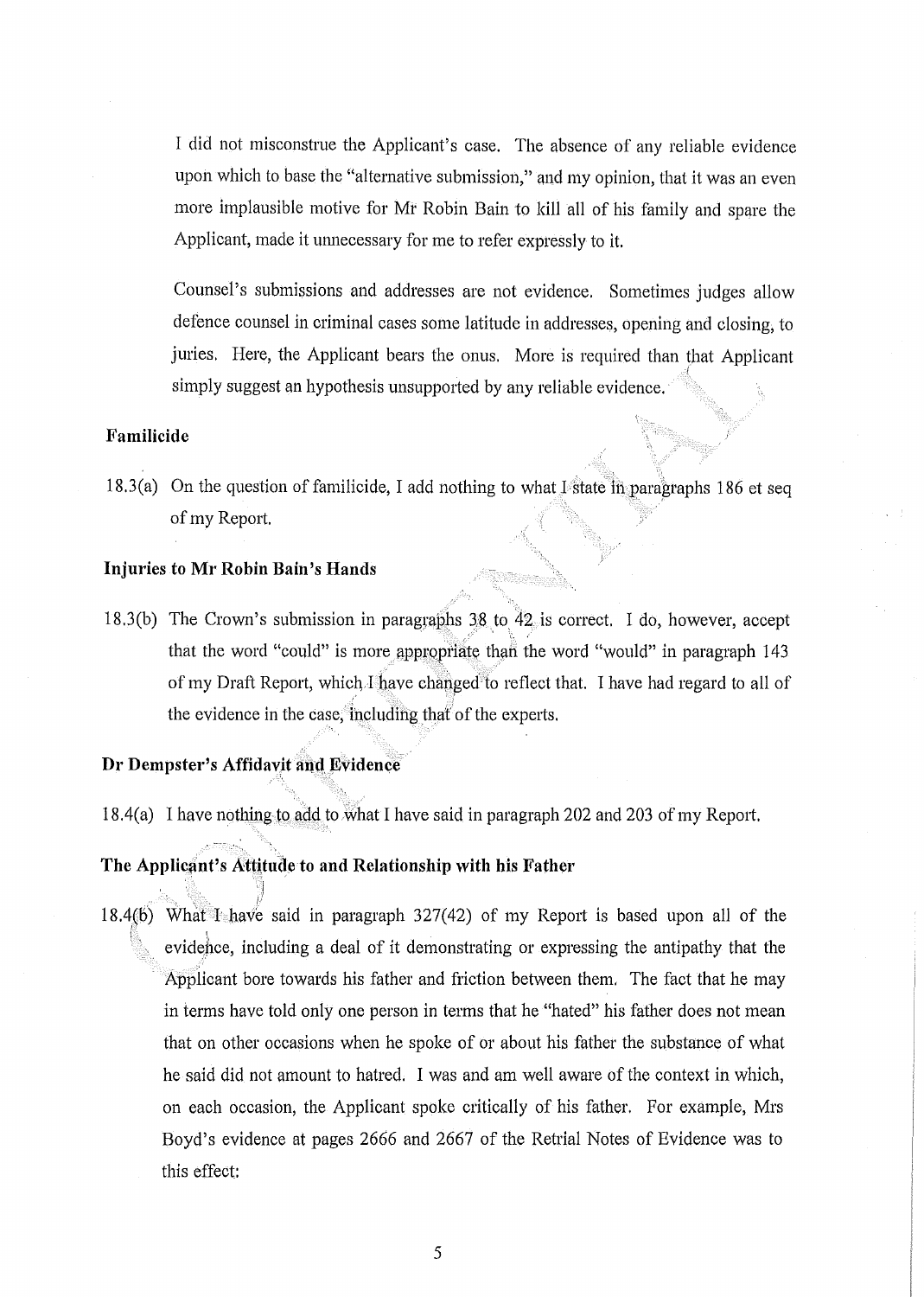I did not misconstme the Applicant's case. The absence of any reliable evidence upon which to base the "alternative submission," and my opinion, that it was an even more implausible motive for Mr Robin Bain to kill all of his family and spare the Applicant, made it unnecessary for me to refer expressly to it.

Counsel's submissions and addresses are not evidence. Sometimes judges allow defence counsel in criminal cases some latitude in addresses, opening and closing, to juries. Here, the Applicant bears the onus. More is required than that Applicant I simply suggest an hypothesis unsupported by any reliable evidence.

## **Familicide**

18.3(a) On the question of familicide, I add nothing to what I state  $\overline{m}$  paragraphs 186 et seq of my Report.

## **Injuries to Mr Robin Bain's Hands**

18.3(b) The Crown's submission in paragraphs  $38$  to  $42$  is correct. I do, however, accept ,  $\mathscr{F} \subset \mathscr{F}$ that the word "could" is more appropriate than the word "would" in paragraph 143 of my Draft Report, which I have changed to reflect that. I have had regard to all of the evidence in the case, including that of the experts.

### **Dr Dempster's Affidavit and Evidence**

lJ .1

18.4(a) I have nothing to add to what I have said in paragraph 202 and 203 of my Report.

### The Applicant's Attitude to and Relationship with his Father

. " ". I' 18.4(b) What 1 have said in paragraph 327(42) of my Report is based upon all of the  ${ }^{\mathbb{R}}$  . The set of  $\mathbf{I}$ evidehce, including a deal of it demonstrating or expressing the antipathy that the Applicant bore towards his father and friction between them. The fact that he may in terms have told only one person in terms that he "hated" his father does not mean that on other occasions when he spoke of or about his father the substance of what he said did not amount to hatred. I was and am well aware of the context in which, on each occasion, the Applicant spoke critically of his father. For example, Mrs Boyd's evidence at pages 2666 and 2667 of the Retrial Notes of Evidence was to this effect: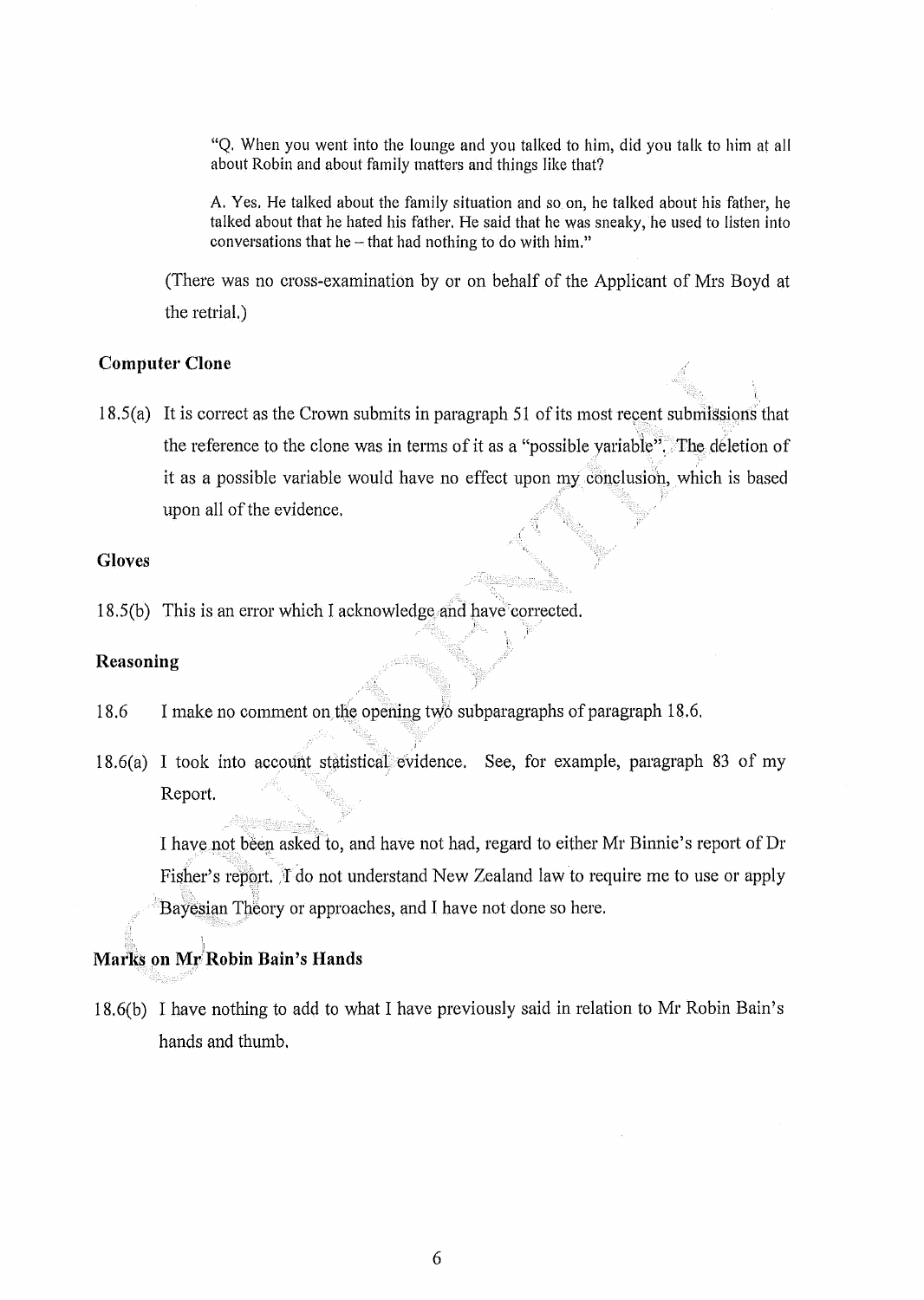"Q. When you went into the lounge and you talked to him, did you talk to him at all about Robin and about family matters and things like that?

A. Yes. He talked about the family situation and so on, he talked about his father, he talked about that he hated his father. He said that he was sneaky, he used to listen into conversations that he  $-$  that had nothing to do with him."

".1,

(There was no cross-examination by or on behalf of the Applicant of Mrs Boyd at the retrial.)

### **Computer Clone**

 $18.5(a)$  It is correct as the Crown submits in paragraph 51 of its most recent submissions that the reference to the clone was in terms of it as a "possible yariable". The deletion of , , it as a possible variable would have no effect upon my conclusion, which is based upon all of the evidence.

### **Gloves**

 $18.5(b)$  This is an error which I acknowledge and have corrected.

## **Reasoning**

- 18.6 I make no comment on the opening two subparagraphs of paragraph 18.6.
- $18.6(a)$  I took into account statistical evidence. See, for example, paragraph 83 of my Report.

I have not been asked to, and have not had, regard to either Mr Binnie's report of Dr Fisher's report. The not understand New Zealand law to require me to use or apply Bayesian Theory or approaches, and I have not done so here.

# , 1 **Marks on Mr!Robin Bain's Hands**

1

18,6(b) I have nothing to add to what I have previously said in relation to Mr Robin Bain's hands and thumb,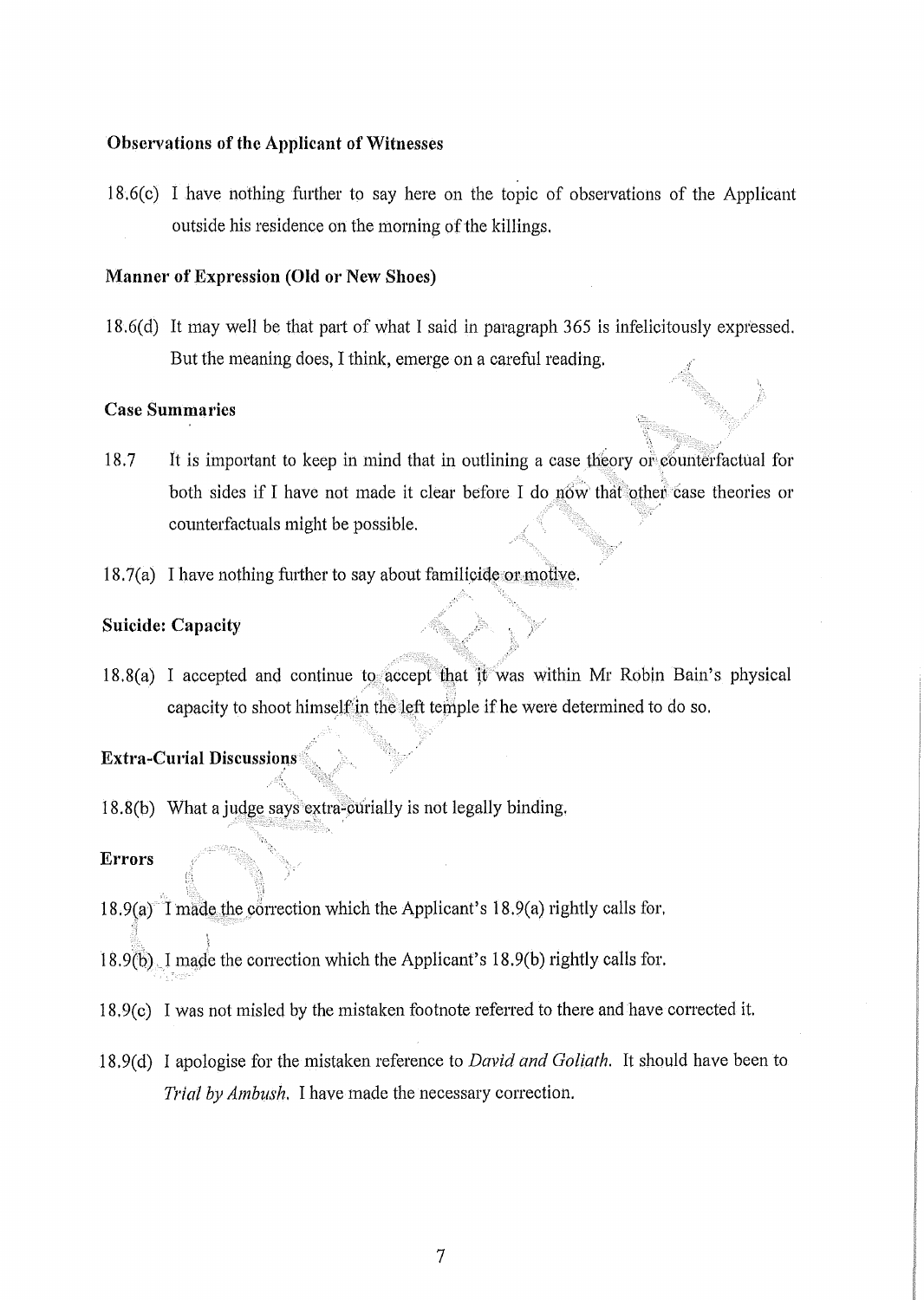### Observations of the Applicant of Witnesses

18.6(c) I have nothing further to say here on the topic of observations of the Applicant outside his residence on the morning of the killings.

### Manner of Expression (Old or New Shoes)

18.6 $(d)$  It may well be that part of what I said in paragraph 365 is infelicitously expressed. But the meaning does, I think, emerge on a careful reading.

### Case Summaries

- 18.7 It is important to keep in mind that in outlining a case theory or counterfactual for both sides if I have not made it clear before I do  $n_0$ , that other case theories or counterfactuals might be possible.
- $18.7(a)$  I have nothing further to say about familicide or motive.

## Suicide: Capacity

18.8(a) I accepted and continue to accept that it was within Mr Robin Bain's physical capacity to shoot himself in the left temple if he were determined to do so.

, ,

# Extra-Curial Discussions

18.8(b) What a judge says extra-curially is not legally binding.

### **Errors**

- $\mathbb{R}$  .  $\mathbb{R}$ 18.9(a) I made the correction which the Applicant's 18.9(a) rightly calls for.
- 18.9 $(b)$ . I made the correction which the Applicant's 18.9(b) rightly calls for.
- $18.9(c)$  I was not misled by the mistaken footnote referred to there and have corrected it.
- 18.9( d) I apologise tor the mistaken reference to *David and Goliath.* It should have been to *Trial by Ambush.* I have made the necessary correction.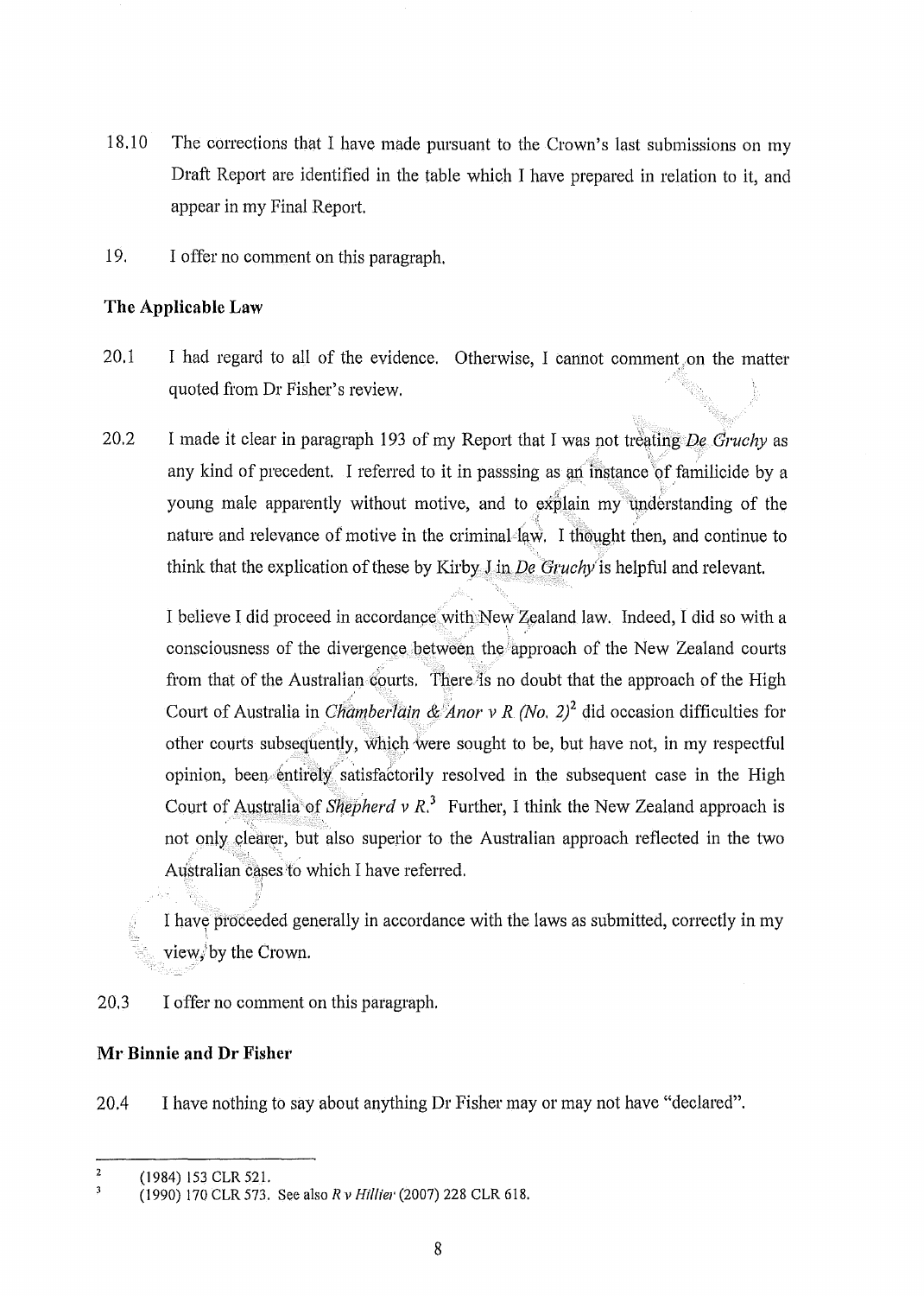- 18.10 The corrections that I have made pursuant to the Crown's last submissions on my Draft Report are identified in the table which I have prepared in relation to it, and appear in my Final Report.
- 19. I offer no comment on this paragraph.

## **The Applicable Law**

- 20.1 I had regard to all of the evidence. Otherwise, I cannot comment.on the matter quoted from Dr Fisher's review.
- 20.2 I made it clear in paragraph 193 of my Report that I was not treating *De Gruchy* as  $f$  ,  $\mathcal{N}$  , any kind of precedent. I referred to it in passsing as an instance of familicide by a young male apparently without motive, and to explain my understanding of the nature and relevance of motive in the criminal law. I thought then, and continue to think that the explication of these by Kirby  $\int$  in *De Gruchy* is helpful and relevant.

I believe I did proceed in accordance with New Zealand law. Indeed, I did so with a consciousness of the divergence between the iapproach of the New Zealand coutis from that of the Australian courts. There is no doubt that the approach of the High Court of Australia in *ChamberTain & Anor v R (No. 2)*<sup>2</sup> did occasion difficulties for other courts subsequently, which were sought to be, but have not, in my respectful opinion, been entirely satisfactorily resolved in the subsequent case in the High Court of Australia of *Shepherd v R*<sup>3</sup> Further, I think the New Zealand approach is not only clearer, but also superior to the Australian approach reflected in the two Australian cases to which I have referred.

I have proceeded generally in accordance with the laws as submitted, correctly in my view/by the Crown.

20,3 I offer no comment on this paragraph.

## **MI' Binnie and Dr Fisher**

20.4 I have nothing to say about anything Dr Fisher may or may not have "declared".

<sup>&</sup>lt;sup>2</sup> (1984) 153 CLR 521.

<sup>(1990) 170</sup> CLR 573. See also *R v H;fliel'* (2007) 228 CLR 618.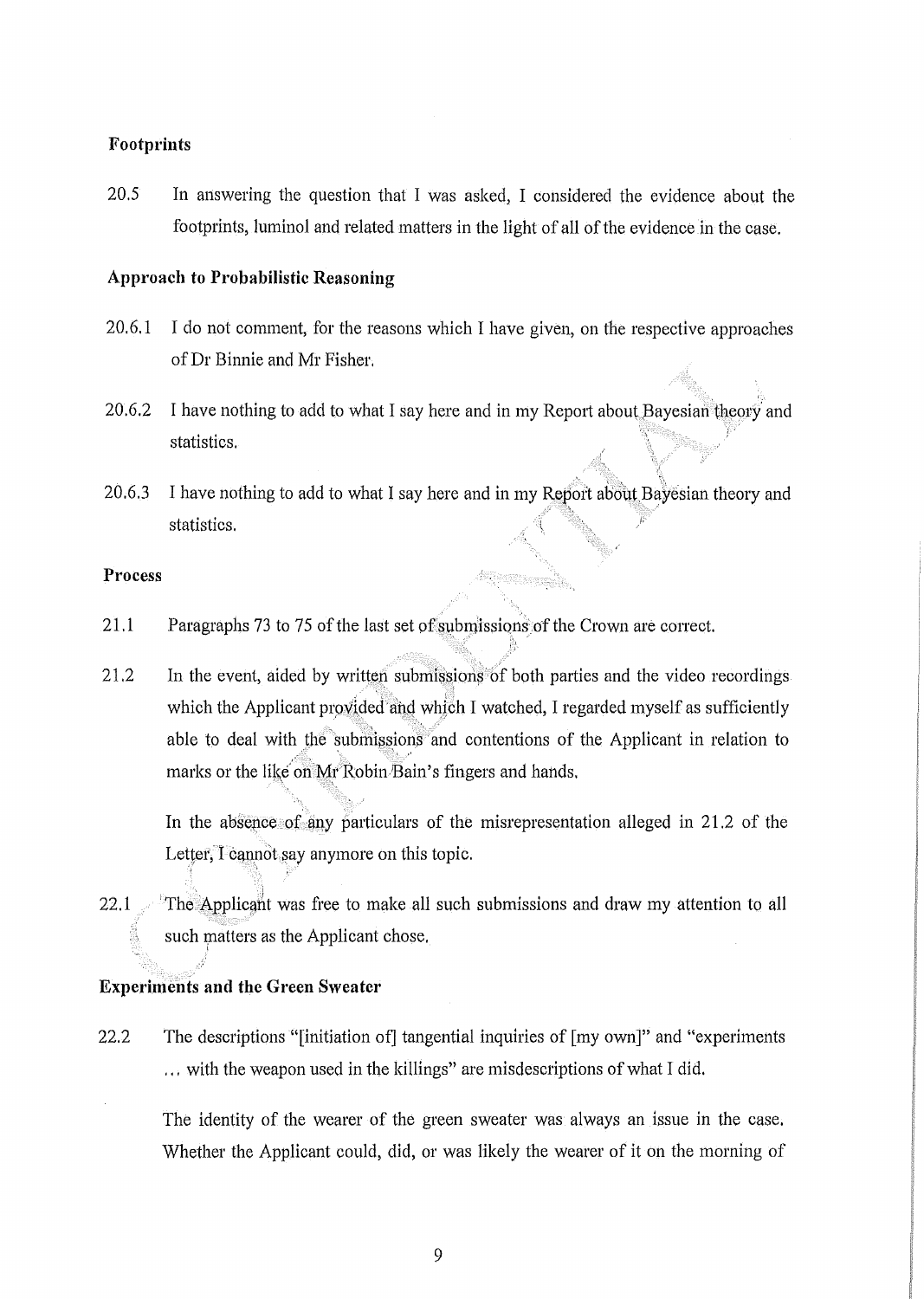### Footprints

20.5 In answering the question that I was asked, I considered the evidence about the footprints, luminol and related matters in the light of all of the evidence in the case.

### Approach to Probabilistic Reasoning

- 20.6.1 I do not comment, for the reasons which I have given, on the respective approaches of Dr Binnie and Mr Fisher.
- 20.6.2 I have nothing to add to what I say here and in my Report about Bayesian theory and statistics.
- 20.6.3 I have nothing to add to what I say here and in my Report about Bayesian theory and " statistics.

### Process

- $21.1$  Paragraphs 73 to 75 of the last set of submissions of the Crown are correct.
- $21.2$  In the event, aided by written submissions of both parties and the video recordings which the Applicant provided and which I watched, I regarded myself as sufficiently able to deal with the submissions and contentions of the Applicant in relation to marks or the like on Mr Robin Bain's fingers and hands.

In the absence of any particulars of the misrepresentation alleged in 21.2 of the Letter, I cannot say anymore on this topic.

22.1  $\text{The }$  Applicant was free to make all such submissions and draw my attention to all such matters as the Applicant chose,

### Experiments and the Green Sweater

22.2 The descriptions "[initiation of] tangential inquiries of [my own]" and "experiments ... with the weapon used in the killings" are misdescriptions of what I did.

The identity of the wearer of the green sweater was always an issue in the case, Whether the Applicant could, did, or was likely the wearer of it on the morning of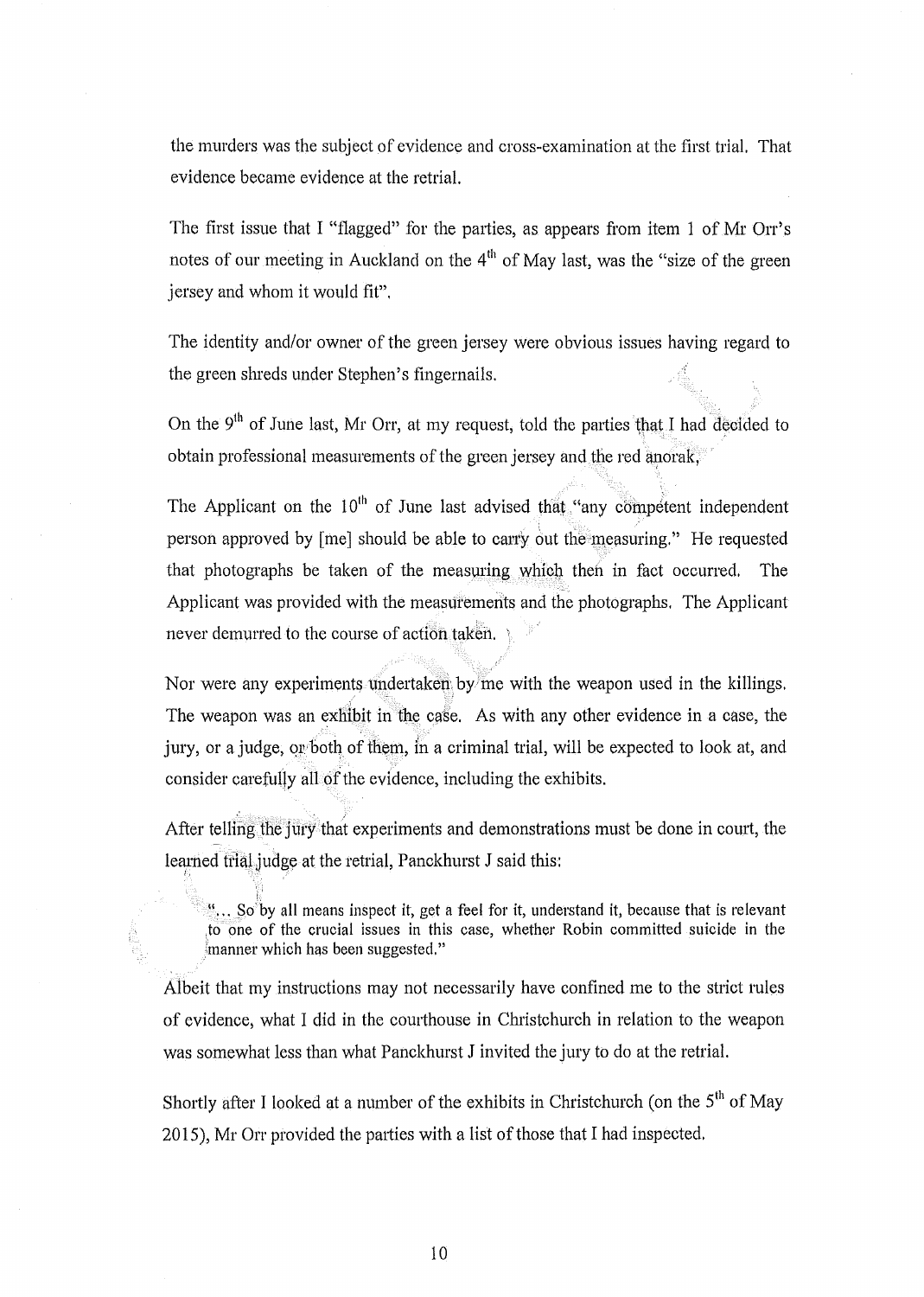the murders was the subject of evidence and cross-examination at the first trial. That evidence became evidence at the retrial.

The first issue that I "flagged" for the parties, as appears from item 1 of Mr Orr's notes of our meeting in Auckland on the  $4<sup>th</sup>$  of May last, was the "size of the green jersey and whom it would fit".

The identity and/or owner of the green jersey were obvious issues having regard to the green shreds under Stephen's fingernails.

On the 9<sup>th</sup> of June last, Mr Orr, at my request, told the parties that I had decided to obtain professional measurements of the green jersey and the red anorak, $\ddot{\cdot}$ 

The Applicant on the  $10<sup>th</sup>$  of June last advised that "any competent independent" person approved by [me] should be able to carry out the measuring." He requested that photographs be taken of the measuring which then in fact occurred. The Applicant was provided with the measurements and the photographs. The Applicant never demurred to the course of action taken.

Nor were any experiments undertaken by me with the weapon used in the killings. The weapon was an exhibit in the case. As with any other evidence in a case, the jury, or a judge, or both of them, in a criminal trial, will be expected to look at, and consider carefully all of the evidence, including the exhibits.

After telling the jury that experiments and demonstrations must be done in court, the learned trial judge at the retrial, Panckhurst J said this:

 $\cdot$ ,.. So<sup>b</sup>y all means inspect it, get a feel for it, understand it, because that is relevant to one of the crucial issues in this case, whether Robin committed suicide in the imanner which has been suggested."

A1beit that my instructions may not necessarily have confined me to the strict rules of evidence, what I did in the courthouse in Christchurch in relation to the weapon was somewhat less than what Panckhurst J invited the jury to do at the retrial.

Shortly after I looked at a number of the exhibits in Christchurch (on the 5<sup>th</sup> of May 2015), Mr Orr provided the patties with a list of those that I had inspected.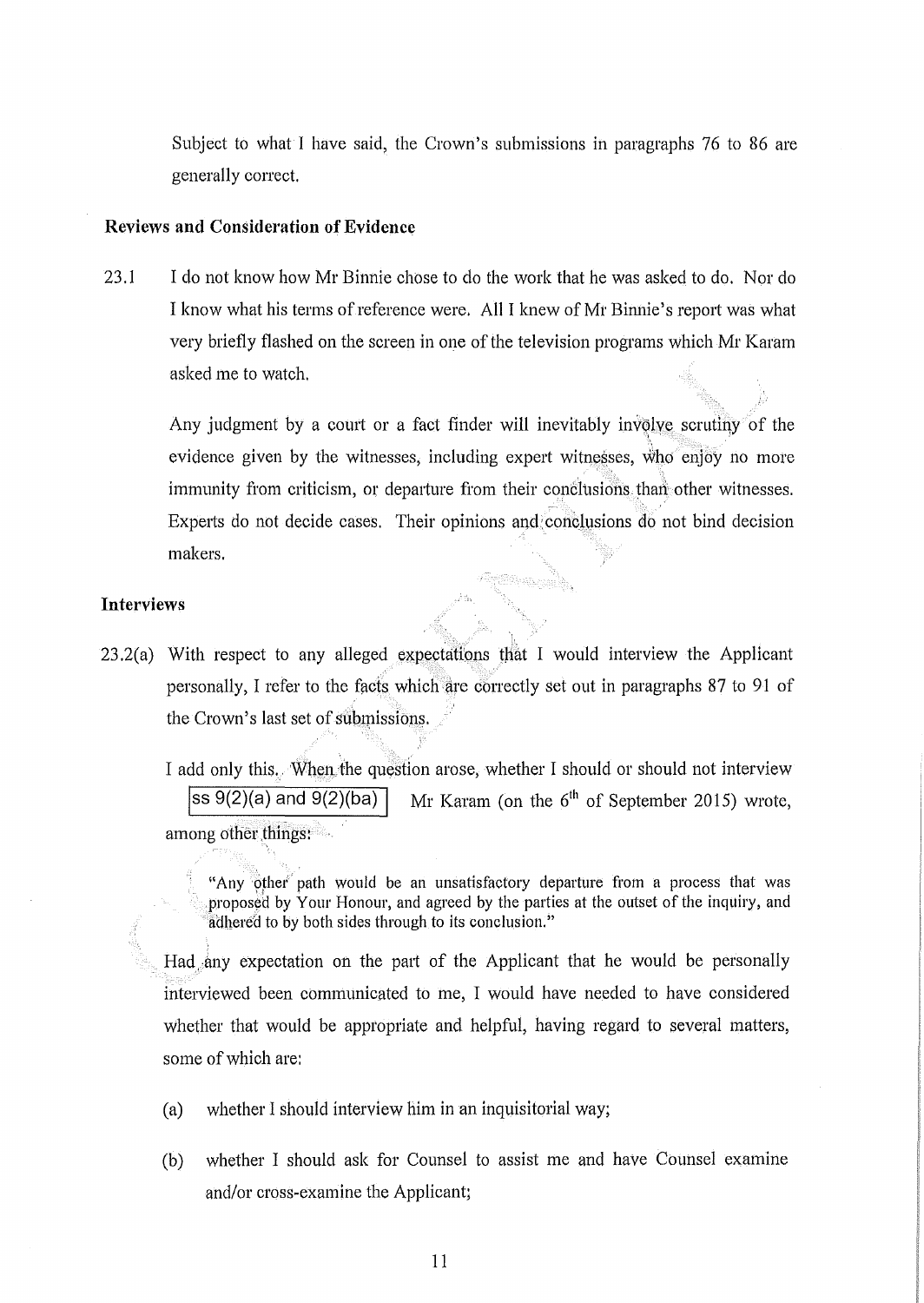Subject to what I have said, the Crown's submissions in paragraphs 76 to 86 are generally correct.

### **Reviews and Consideration of Evidence**

-"

23.1 I do not know how Mr Binnie chose to do the work that he was asked to do. Nor do I know what his terms of reference were. All I knew of Mr Binnie's report was what very briefly tlashed on the screen in one of the television programs which Mr Karam asked me to watch.

Any judgment by a court or a fact finder will inevitably involve scrutiny of the " ' . evidence given by the witnesses, including expert witne\$ses, who enjoy no more immunity from criticism, or departure from their conclusions than other witnesses. Experts do not decide cases. Their opinions and conclusions do not bind decision makers.

### **Interviews**

 $23.2(a)$  With respect to any alleged expectations that I would interview the Applicant personally, I refer to the facts which are correctly set out in paragraphs 87 to 91 of the Crown's last set of submissions.

I add only this. When the question arose, whether I should or should not interview  $\sqrt{\text{ss }9(2)(a)}$  and  $\sqrt{9(2)(ba)}$  Mr Karam (on the 6<sup>th</sup> of September 2015) wrote, among other things:

"Any other path would be an unsatisfactory departure from a process that was proposed by Your Honour, and agreed by the parties at the outset of the inquiry, and adhered to by both sides through to its conclusion."

Had)my expectation on the part of the Applicant that he would be personally interviewed been communicated to me, I would have needed to have considered whether that would be appropriate and helpful, having regard to several matters, some of which are:

- (a) whether I should interview him in an inquisitorial way;
- (b) whether I should ask for Counsel to assist me and have Counsel examine and/or cross-examine the Applicant;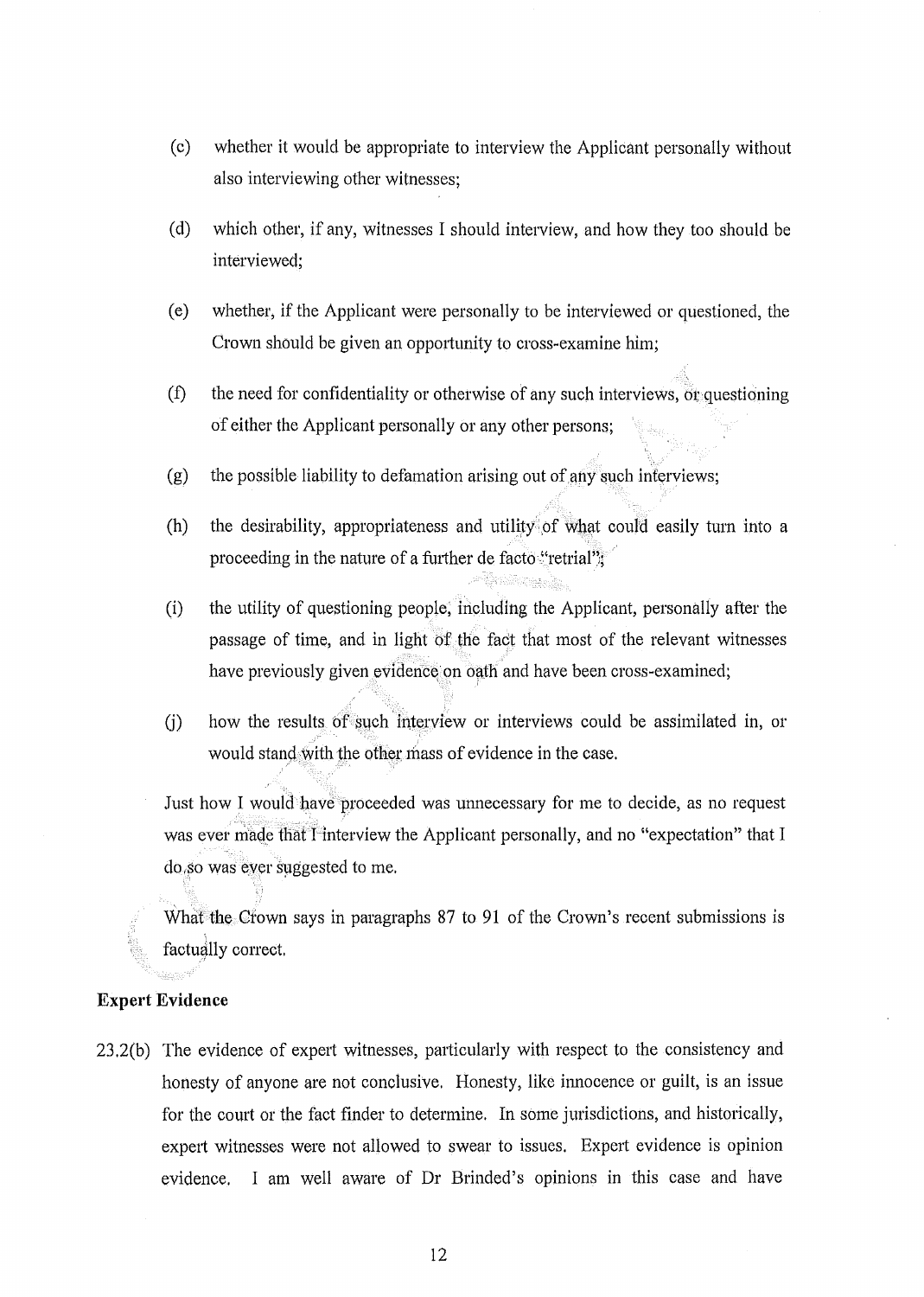- (c) whether it would be appropriate to interview the Applicant personally without also interviewing other witnesses;
- (d) which other, if any, witnesses I should interview, and how they too should be interviewed;
- (e) whether, if the Applicant were personally to be interviewed or questioned, the Crown should be given an opportunity to cross-examine him;
- $(f)$  the need for confidentiality or otherwise of any such interviews, or questioning of either the Applicant personally or any other persons;
- (g) the possible liability to defamation arising out of any such inferviews;
- (h) the desirability, appropriateness and utility of what could easily turn into a proceeding in the nature of a further de facto "retrial";
- (i) the utility of questioning people; including the Applicant, personally after the passage of time, and in light of the fact that most of the relevant witnesses have previously given evidence on oath and have been cross-examined;
- $(i)$  how the results of such interview or interviews could be assimilated in, or would stand, with the other mass of evidence in the case.

Just how I would have proceeded was unnecessary for me to decide, as no request was ever made that I-interview the Applicant personally, and no "expectation" that I do so was ever suggested to me.

What the Crown says in paragraphs 87 to 91 of the Crown's recent submissions is factually correct.

### **Expert Evidence**

"

23.2(b) The evidence of expert witnesses, particularly with respect to the consistency and honesty of anyone are not conclusive. Honesty, like innocence or guilt, is an issue for the court or the fact finder to determine. In some jurisdictions, and historically, expert witnesses were not allowed to swear to issues. Expert evidence is opinion evidence. I am well aware of Dr Brinded's opinions in this case and have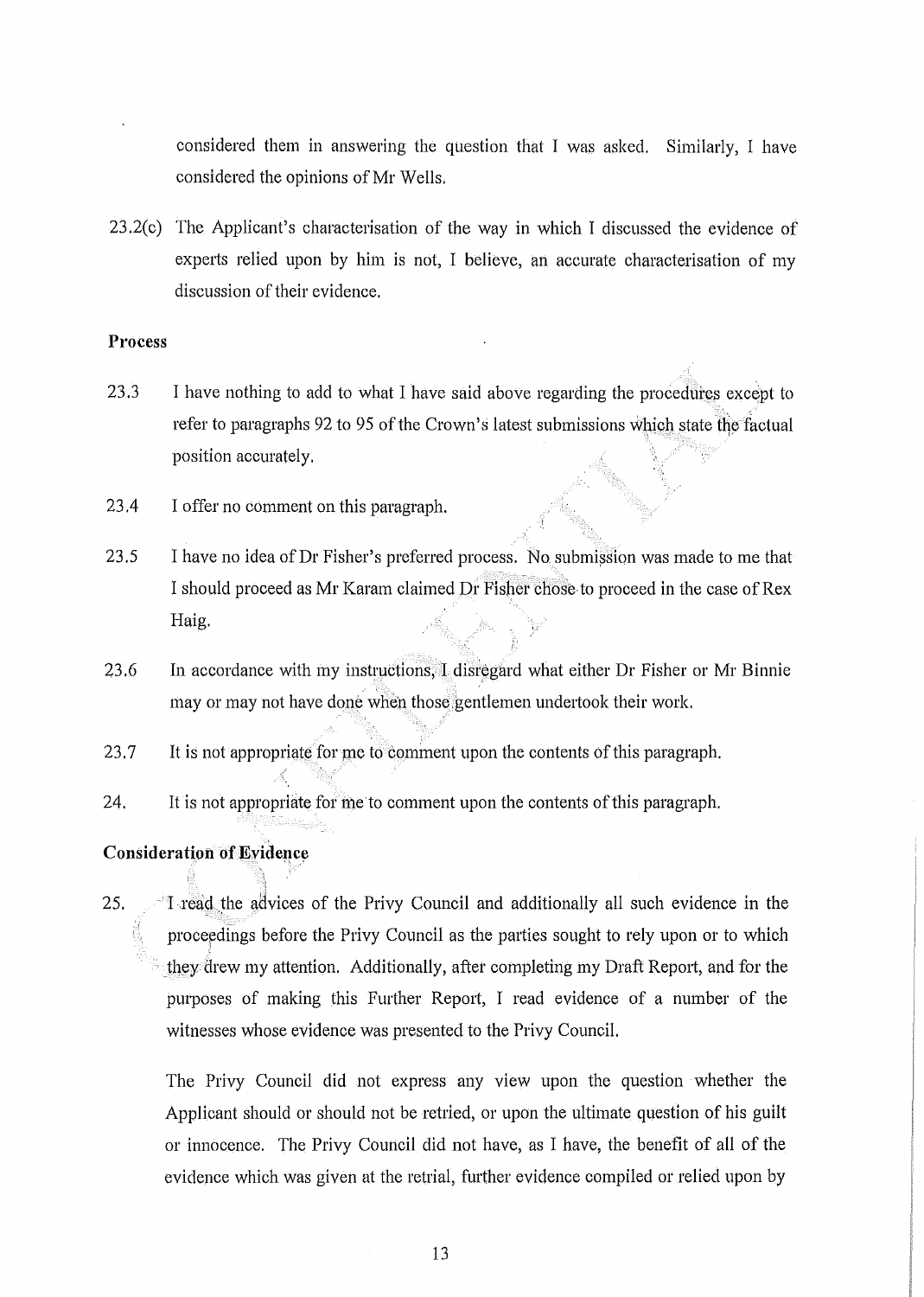considered them in answering the question that I was asked. Similarly, I have considered the opinions of Mr Wells.

23.2(c) The Applicant's characterisation of the way in which I discussed the evidence of experts relied upon by him is not, I believe, an accurate characterisation of my discussion of their evidence.

### **Process**

- 23.3 I have nothing to add to what I have said above regarding the procedures except to refer to paragraphs 92 to 95 of the Crown's latest submissions which state the factual position accurately.
- 23.4 I offer no comment on this paragraph.
- 23.5 I have no idea of Dr Fisher's preferred process. No submission was made to me that I should proceed as Mr Karam claimed Dr Fisher chose to proceed in the case of Rex Haig.
- 23.6 In accordance with my instructions, I disregard what either Dr Fisher or Mr Binnie may or may not have done when those gentlemen undertook their work.
- 23.7 It is not appropriate for me to comment upon the contents of this paragraph.

 $\mathcal{P}(\mathcal{C}_1)$  ,  $\mathcal{C}_2$  ,  $\mathcal{C}_3$  ,  $\mathcal{C}_4$ 

24. It is not appropriate for me to comment upon the contents of this paragraph.

# **Consideration Of K:vidence**  , l\ "

:1

25. I read the advices of the Privy Council and additionally all such evidence in the proceedings before the Privy Council as the parties sought to rely upon or to which ;I they drew my attention. Additionally, after completing my Draft Report, and for the purposes of making this Further Report, I read evidence of a number of the witnesses whose evidence was presented to the Privy Council.

The Privy Council did not express any view upon the question whether the Applicant should or should not be retried, or upon the ultimate question of his guilt or innocence. The Privy Council did not have, as I have, the benefit of all of the evidence which was given at the retrial, further evidence compiled or relied upon by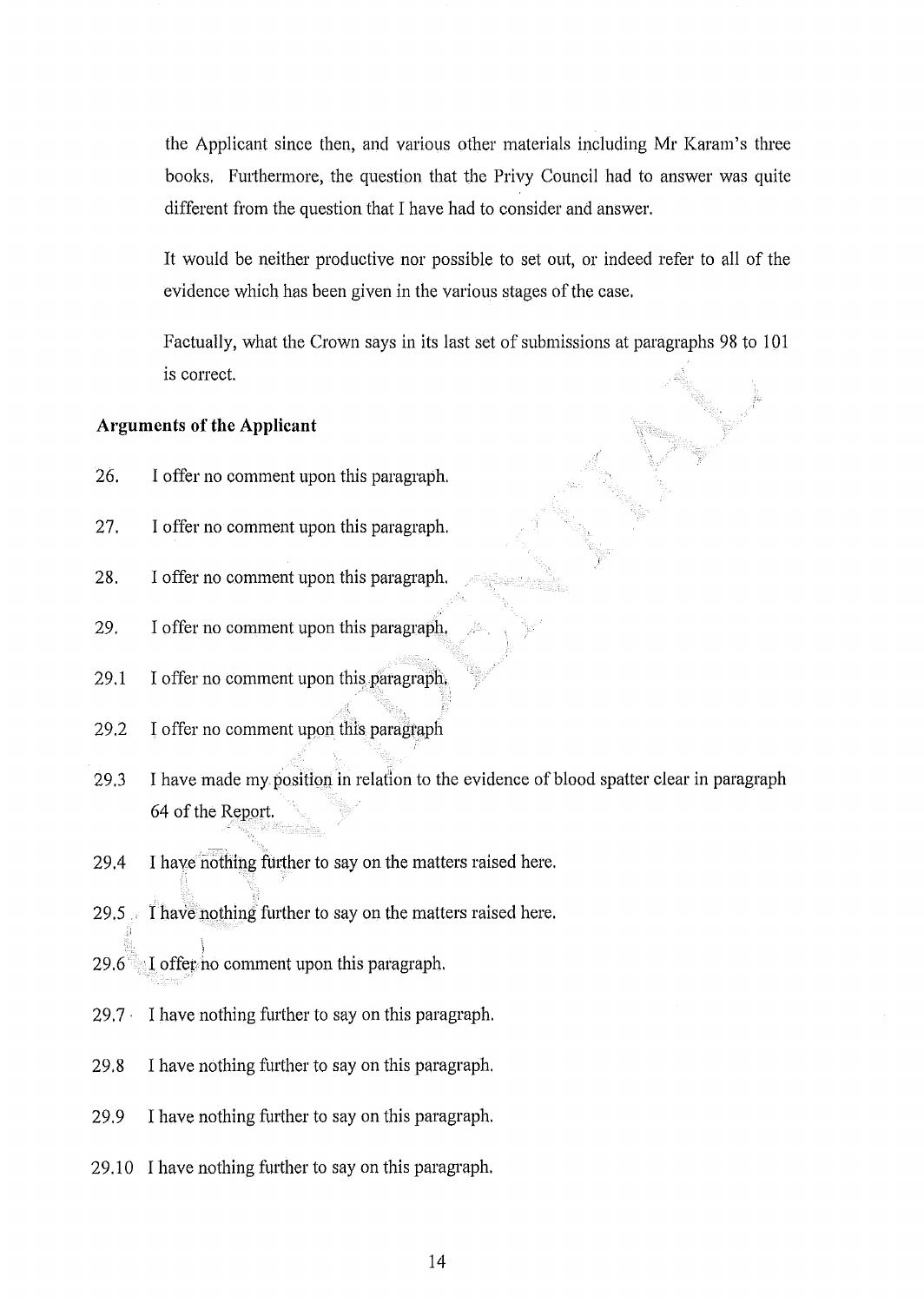the Applicant since then, and various other materials including Mr Karam's three books. Furthermore, the question that the Privy Council had to answer was quite different from the question that I have had to consider and answer.

It would be neither productive nor possible to set out, or indeed refer to all of the evidence which has been given in the various stages of the case.

Factually, what the Crown says in its last set of submissions at paragraphs 98 to 101 is correct.

## **Arguments of the Applicant**

- 26. I offer no comment upon this paragraph.
- 27. I offer no comment upon this paragraph.
- 28. I offer no comment upon this paragraph.
- 29. I offer no comment upon this paragraph.
- $29.1$  I offer no comment upon this paragraph,
- 29.2 I offer no comment upon this paragraph
- 29.3 I have made my position in relation to the evidence of blood spatter clear in paragraph 64 of the Report.
- 29.4 I have nothing further to say on the matters raised here.
- 29.5 I have nothing further to say on the matters raised here.
- $29.6$  I offer no comment upon this paragraph.
- $29.7 \cdot$  I have nothing further to say on this paragraph.
- 29.8 I have nothing further to say on this paragraph.
- $29.9$  I have nothing further to say on this paragraph.
- 29.10 I have nothing further to say on this paragraph.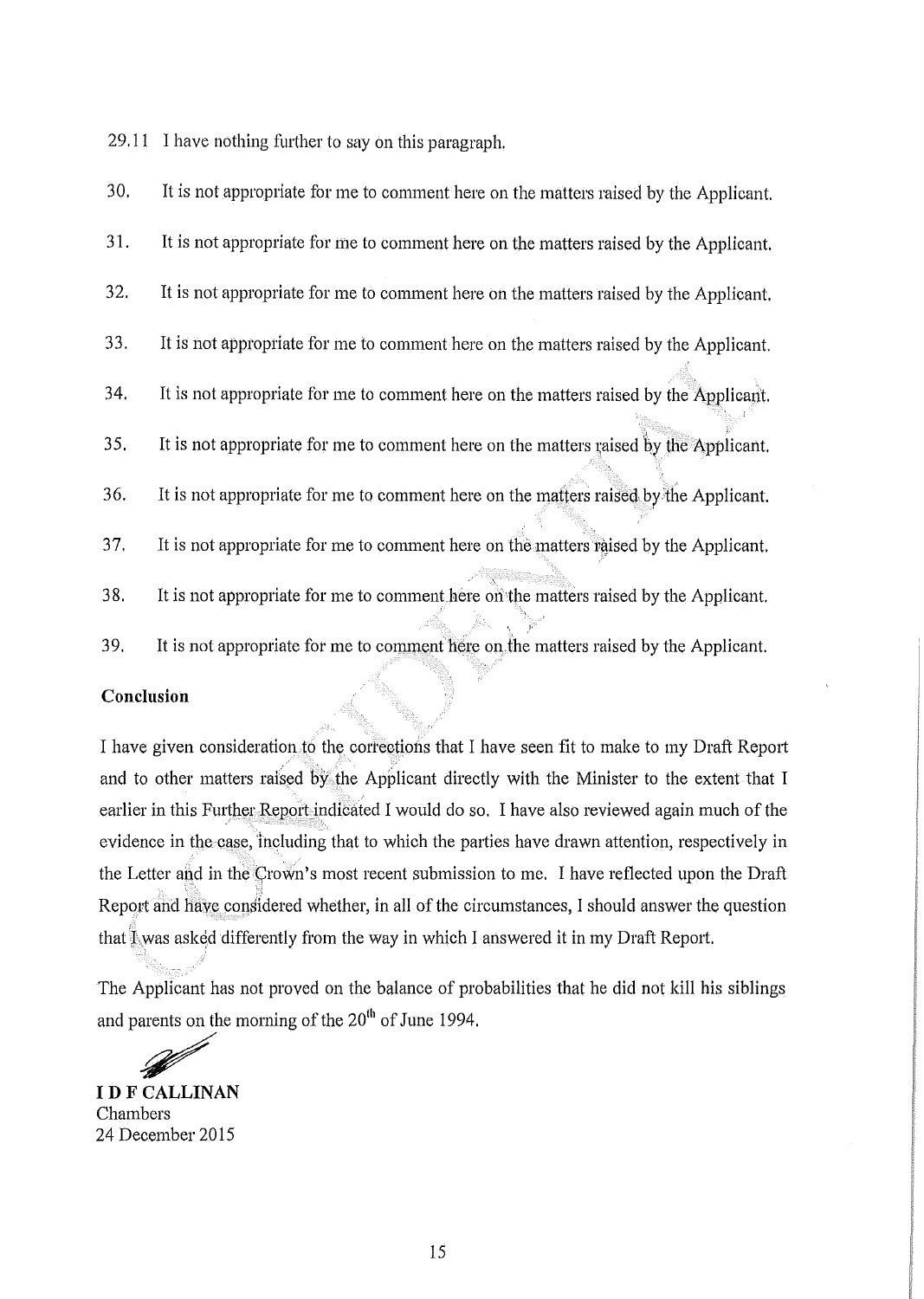$29.11$  I have nothing further to say on this paragraph.

30. It is not appropriate for me to comment here on the matters raised by the Applicant. 31. It is not appropriate for me to comment here on the matters raised by the Applicant. 32. It is not appropriate for me to comment here on the matters raised by the Applicant. 33. It is not approptiate for me to comment here on the matters raised by the Applicant. 34. It is not appropriate for me to comment here on the matters raised by the Applicant. 35. It is not appropriate for me to comment here on the matters raised by the Applicant. 36. It is not appropriate for me to comment here on the matters raised by:the Applicant. 37. It is not appropriate for me to comment here on the matters raised by the Applicant. 38. It is not appropriate for me to comment.here on'the matters raised by the Applicant. 39. It is not appropriate for me to comment here on the matters raised by the Applicant.

### **Conclusion**

I have given consideration to the corrections that I have seen fit to make to my Draft Report and to other matters raised by the Applicant directly with the Minister to the extent that I earlier in this Further Report indicated I would do so. I have also reviewed again much of the evidence in the case, including that to which the parties have drawn attention, respectively in the Letter and in the Crown's most recent submission to me. I have reflected upon the Draft Report and have considered whether, in all of the circumstances, I should answer the question that  $\mathbb{I}_{\mathcal{N}}$  was asked differently from the way in which I answered it in my Draft Report.

The Applicant has not proved on the balance of probabilities that he did not kill his siblings and parents on the morning of the  $20^{th}$  of June 1994.<br> **IDE CALLINAN** 

**ID F CALLINAN** Chambers 24 December 2015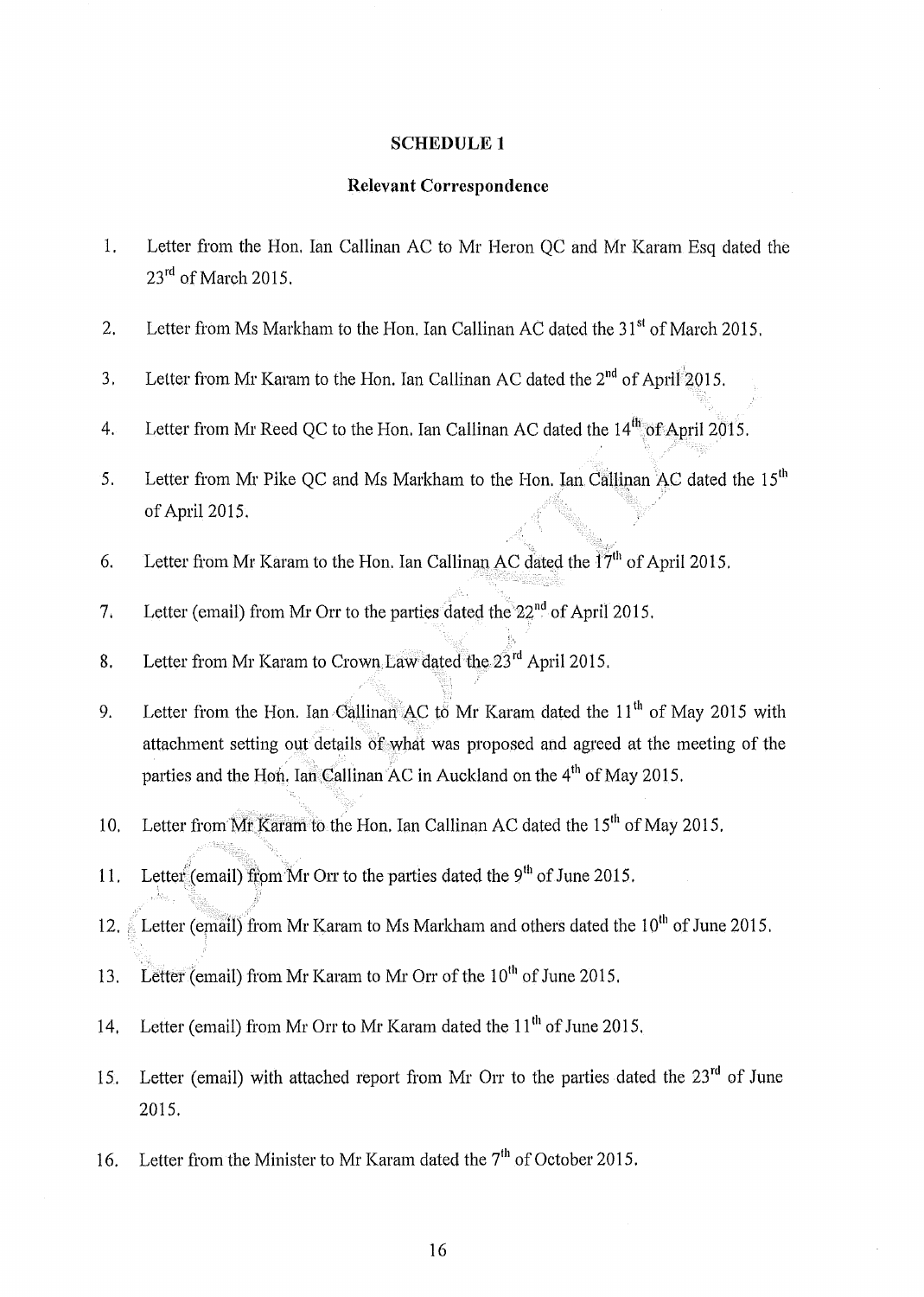#### **SCHEDULE 1**

### **Relevant Correspondence**

- 1. Letter from the Hon, Ian Callinan AC to Mr Heron QC and Mr Karam Esq dated the  $23<sup>rd</sup>$  of March 2015.
- 2. Letter from Ms Markham to the Hon. Ian Callinan AC dated the  $31<sup>st</sup>$  of March 2015.
- 3. Letter from Mr Karam to the Hon. Ian Callinan AC dated the  $2<sup>nd</sup>$  of April<sup>2</sup>2015.
- 4. Letter from Mr Reed QC to the Hon. Ian Callinan AC dated the  $14<sup>th</sup>$  of April 2015.
- 5. Letter from Mr Pike QC and Ms Markham to the Hon. Ian Callinan AC dated the  $15<sup>th</sup>$ of April 2015.
- 6. Letter from Mr Karam to the Hon. Ian Callinan AC dated the  $17<sup>th</sup>$  of April 2015.
- 7. Letter (email) from Mr Orr to the parties dated the 22<sup>nd</sup> of April 2015.
- 8. Letter from Mr Karam to Crown.Law dated the  $23^{\text{rd}}$  April 2015.
- 9. Letter from the Hon. Ian Callinan AC to Mr Karam dated the  $11<sup>th</sup>$  of May 2015 with attachment setting out details of what was proposed and agreed at the meeting of the parties and the Hon. Ian Callinan AC in Auckland on the  $4<sup>th</sup>$  of May 2015.
- 10. Letter from Mr Karam to the Hon. Ian Callinan AC dated the 15<sup>th</sup> of May 2015.
- 11. Letter (email) from Mr Orr to the parties dated the 9<sup>th</sup> of June 2015.
- 12.  $\mu$  Letter (email) from Mr Karam to Ms Markham and others dated the 10<sup>th</sup> of June 2015.
- 13. Letter (email) from Mr Karam to Mr Orr of the 10<sup>th</sup> of June 2015.
- 14. Letter (email) from Mr Orr to Mr Karam dated the 11<sup>th</sup> of June 2015.
- 15. Letter (email) with attached report from Mr Orr to the parties dated the  $23<sup>rd</sup>$  of June 2015.
- 16. Letter from the Minister to Mr Karam dated the  $7<sup>th</sup>$  of October 2015.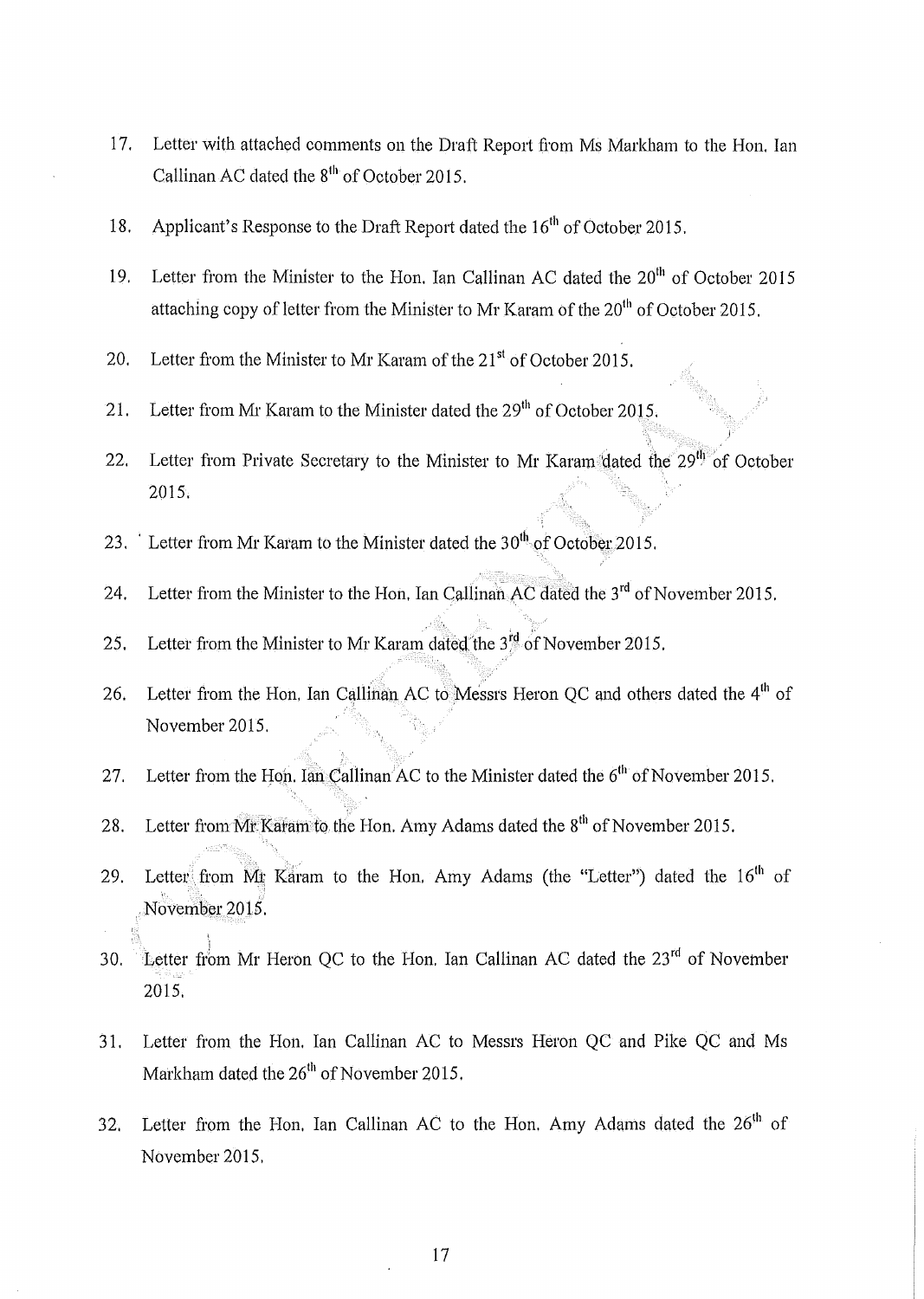- 17. Letter with attached comments on the Draft Report from Ms Markham to the Hon. Ian Callinan AC dated the 8<sup>th</sup> of October 2015.
- 18. Applicant's Response to the Draft Report dated the  $16<sup>th</sup>$  of October 2015.
- 19. Letter from the Minister to the Hon. Ian Callinan AC dated the  $20<sup>th</sup>$  of October 2015 attaching copy of letter from the Minister to Mr Karam of the  $20^{th}$  of October 2015.
- 20. Letter from the Minister to Mr Karam of the  $21<sup>st</sup>$  of October 2015.
- 21. Letter from Mr Karam to the Minister dated the  $29<sup>th</sup>$  of October 2015.
- 22. Letter from Private Secretary to the Minister to Mr Karam dated the  $29^{46}$  of October 2015.

:, 'I'.

- 23. Letter from Mr Karam to the Minister dated the  $30<sup>th</sup>$  of October 2015.
- 24. Letter from the Minister to the Hon. Ian Callinan AC dated the  $3<sup>rd</sup>$  of November 2015.
- 25. Letter from the Minister to Mr Karam dated the 3<sup>rd</sup> of November 2015.
- 26. Letter from the Hon, Ian Callinan AC to Messrs Heron QC and others dated the  $4<sup>th</sup>$  of November 2015.
- 27. Letter from the Hon. Ian Callinan<sup>A</sup>C to the Minister dated the  $6<sup>th</sup>$  of November 2015.
- 28. Letter from Mr Karam to the Hon. Amy Adams dated the  $8<sup>th</sup>$  of November 2015.
- 29. Letter from  $\overline{M}$ t Karam to the Hon. Amy Adams (the "Letter") dated the 16<sup>th</sup> of ,", , November 2015.
- 30. Letter from Mr Heron QC to the Hon. Ian Callinan AC dated the  $23^{rd}$  of November 2015.
- 31. Letter from the Hon. Ian Callinan AC to Messrs Heron QC and Pike QC and Ms Markham dated the 26<sup>th</sup> of November 2015.
- 32. Letter from the Hon. Ian Callinan AC to the Hon. Amy Adams dated the  $26<sup>th</sup>$  of November 2015.